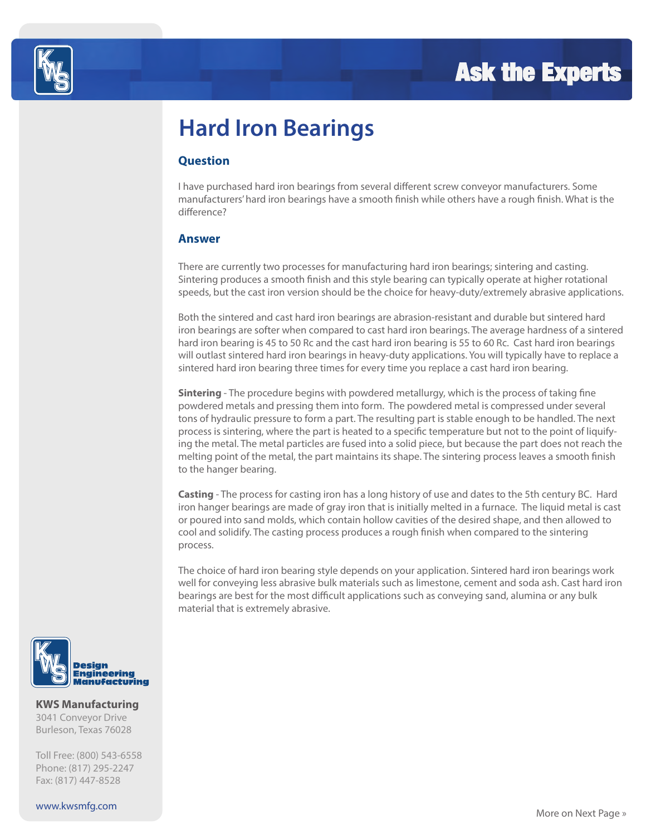

## **Hard Iron Bearings**

#### **Question**

I have purchased hard iron bearings from several different screw conveyor manufacturers. Some manufacturers' hard iron bearings have a smooth finish while others have a rough finish. What is the difference?

#### **Answer**

There are currently two processes for manufacturing hard iron bearings; sintering and casting. Sintering produces a smooth finish and this style bearing can typically operate at higher rotational speeds, but the cast iron version should be the choice for heavy-duty/extremely abrasive applications.

Both the sintered and cast hard iron bearings are abrasion-resistant and durable but sintered hard iron bearings are softer when compared to cast hard iron bearings. The average hardness of a sintered hard iron bearing is 45 to 50 Rc and the cast hard iron bearing is 55 to 60 Rc. Cast hard iron bearings will outlast sintered hard iron bearings in heavy-duty applications. You will typically have to replace a sintered hard iron bearing three times for every time you replace a cast hard iron bearing.

**Sintering** - The procedure begins with powdered metallurgy, which is the process of taking fine powdered metals and pressing them into form. The powdered metal is compressed under several tons of hydraulic pressure to form a part. The resulting part is stable enough to be handled. The next process is sintering, where the part is heated to a specific temperature but not to the point of liquifying the metal. The metal particles are fused into a solid piece, but because the part does not reach the melting point of the metal, the part maintains its shape. The sintering process leaves a smooth finish to the hanger bearing.

**Casting** - The process for casting iron has a long history of use and dates to the 5th century BC. Hard iron hanger bearings are made of gray iron that is initially melted in a furnace. The liquid metal is cast or poured into sand molds, which contain hollow cavities of the desired shape, and then allowed to cool and solidify. The casting process produces a rough finish when compared to the sintering process.

The choice of hard iron bearing style depends on your application. Sintered hard iron bearings work well for conveying less abrasive bulk materials such as limestone, cement and soda ash. Cast hard iron bearings are best for the most difficult applications such as conveying sand, alumina or any bulk material that is extremely abrasive.



#### **KWS Manufacturing**

3041 Conveyor Drive Burleson, Texas 76028

Toll Free: (800) 543-6558 Phone: (817) 295-2247 Fax: (817) 447-8528